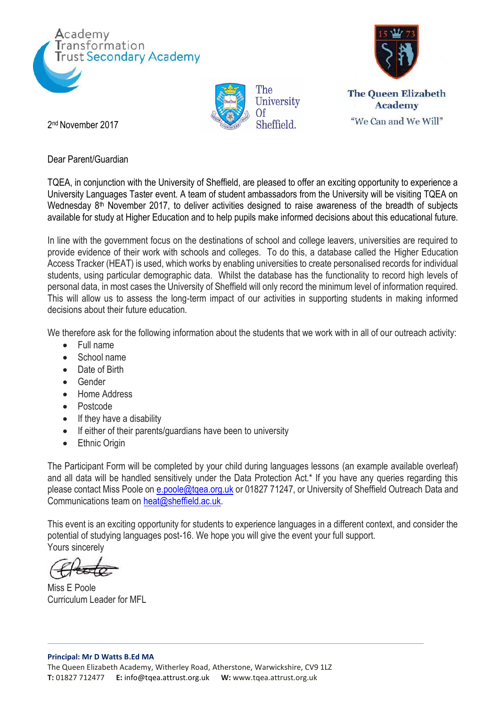







2 nd November 2017

Dear Parent/Guardian

TQEA, in conjunction with the University of Sheffield, are pleased to offer an exciting opportunity to experience a University Languages Taster event. A team of student ambassadors from the University will be visiting TQEA on Wednesday 8<sup>th</sup> November 2017, to deliver activities designed to raise awareness of the breadth of subjects available for study at Higher Education and to help pupils make informed decisions about this educational future.

In line with the government focus on the destinations of school and college leavers, universities are required to provide evidence of their work with schools and colleges. To do this, a database called the Higher Education Access Tracker (HEAT) is used, which works by enabling universities to create personalised records for individual students, using particular demographic data. Whilst the database has the functionality to record high levels of personal data, in most cases the University of Sheffield will only record the minimum level of information required. This will allow us to assess the long-term impact of our activities in supporting students in making informed decisions about their future education.

We therefore ask for the following information about the students that we work with in all of our outreach activity:

- Full name
- School name
- Date of Birth
- **•** Gender
- Home Address
- Postcode
- If they have a disability
- If either of their parents/guardians have been to university
- Ethnic Origin

The Participant Form will be completed by your child during languages lessons (an example available overleaf) and all data will be handled sensitively under the Data Protection Act.\* If you have any queries regarding this please contact Miss Poole on e.poole@tgea.org.uk or 01827 71247, or University of Sheffield Outreach Data and Communications team on [heat@sheffield.ac.uk.](mailto:heat@sheffield.ac.uk)

This event is an exciting opportunity for students to experience languages in a different context, and consider the potential of studying languages post-16. We hope you will give the event your full support. Yours sincerely

Miss E Poole Curriculum Leader for MFL